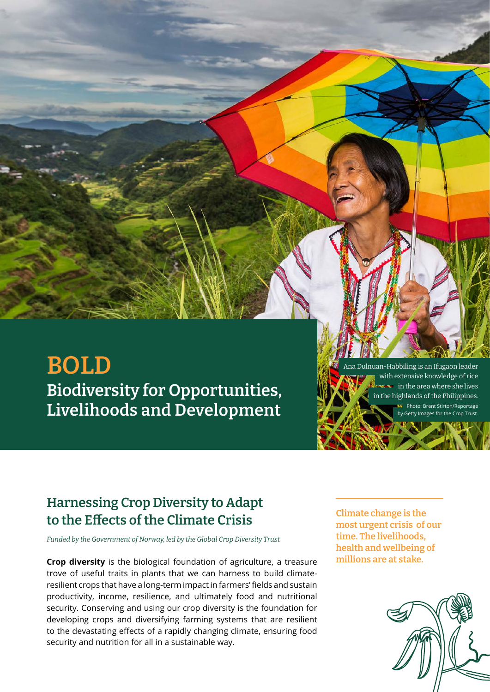# **BOLD Biodiversity for Opportunities, Livelihoods and Development**

Ana Dulnuan-Habbiling is an Ifugaon leader with extensive knowledge of rice in the area where she lives in the highlands of the Philippines. Photo: Brent Stirton/Reportage **progetion** from Trust.

# **Harnessing Crop Diversity to Adapt to the Effects of the Climate Crisis**

*Funded by the Government of Norway, led by the Global Crop Diversity Trust*

**Crop diversity** is the biological foundation of agriculture, a treasure trove of useful traits in plants that we can harness to build climateresilient crops that have a long-term impact in farmers' fields and sustain productivity, income, resilience, and ultimately food and nutritional security. Conserving and using our crop diversity is the foundation for developing crops and diversifying farming systems that are resilient to the devastating effects of a rapidly changing climate, ensuring food security and nutrition for all in a sustainable way.

**Climate change is the most urgent crisis of our time. The livelihoods, health and wellbeing of millions are at stake.**

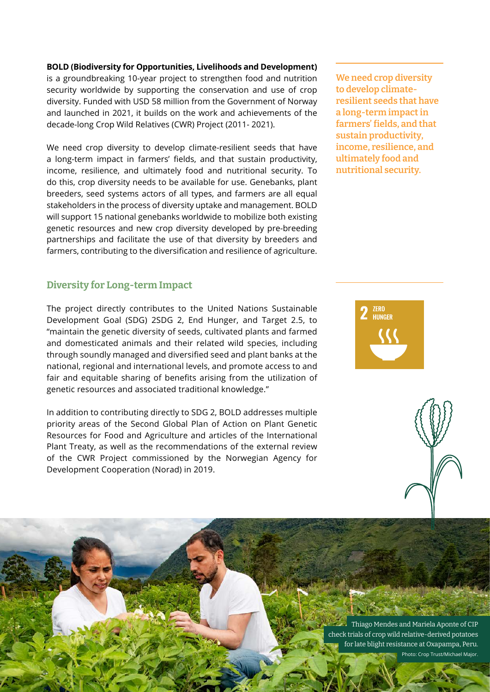#### **BOLD (Biodiversity for Opportunities, Livelihoods and Development)**

is a groundbreaking 10-year project to strengthen food and nutrition security worldwide by supporting the conservation and use of crop diversity. Funded with USD 58 million from the Government of Norway and launched in 2021, it builds on the work and achievements of the decade-long Crop Wild Relatives (CWR) Project (2011- 2021).

We need crop diversity to develop climate-resilient seeds that have a long-term impact in farmers' fields, and that sustain productivity, income, resilience, and ultimately food and nutritional security. To do this, crop diversity needs to be available for use. Genebanks, plant breeders, seed systems actors of all types, and farmers are all equal stakeholders in the process of diversity uptake and management. BOLD will support 15 national genebanks worldwide to mobilize both existing genetic resources and new crop diversity developed by pre-breeding partnerships and facilitate the use of that diversity by breeders and farmers, contributing to the diversification and resilience of agriculture.

### **Diversity for Long-term Impact**

The project directly contributes to the United Nations Sustainable Development Goal (SDG) 2SDG 2, End Hunger, and Target 2.5, to "maintain the genetic diversity of seeds, cultivated plants and farmed and domesticated animals and their related wild species, including through soundly managed and diversified seed and plant banks at the national, regional and international levels, and promote access to and fair and equitable sharing of benefits arising from the utilization of genetic resources and associated traditional knowledge."

In addition to contributing directly to SDG 2, BOLD addresses multiple priority areas of the Second Global Plan of Action on Plant Genetic Resources for Food and Agriculture and articles of the International Plant Treaty, as well as the recommendations of the external review of the CWR Project commissioned by the Norwegian Agency for Development Cooperation (Norad) in 2019.

**We need crop diversity to develop climateresilient seeds that have a long-term impact in farmers' fields, and that sustain productivity, income, resilience, and ultimately food and nutritional security.**





Thiago Mendes and Mariela Aponte of CIP check trials of crop wild relative-derived potatoes for late blight resistance at Oxapampa, Peru. Photo: Crop Trust/Michael Major.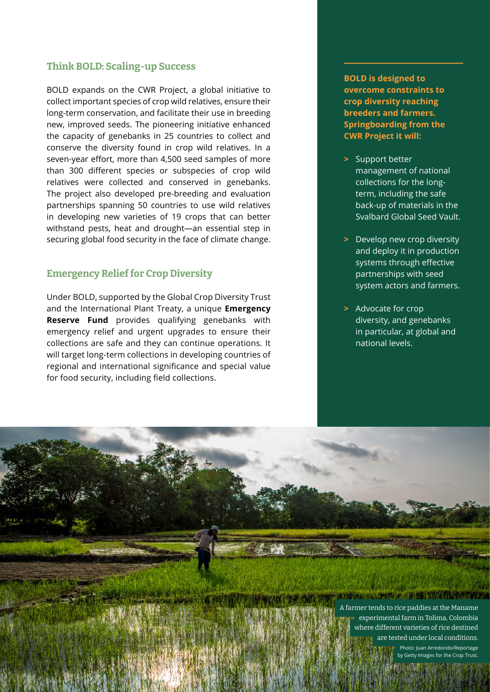### **Think BOLD: Scaling-up Success**

BOLD expands on the CWR Project, a global initiative to collect important species of crop wild relatives, ensure their long-term conservation, and facilitate their use in breeding new, improved seeds. The pioneering initiative enhanced the capacity of genebanks in 25 countries to collect and conserve the diversity found in crop wild relatives. In a seven-year effort, more than 4,500 seed samples of more than 300 different species or subspecies of crop wild relatives were collected and conserved in genebanks. The project also developed pre-breeding and evaluation partnerships spanning 50 countries to use wild relatives in developing new varieties of 19 crops that can better withstand pests, heat and drought—an essential step in securing global food security in the face of climate change.

### **Emergency Relief for Crop Diversity**

Under BOLD, supported by the Global Crop Diversity Trust and the International Plant Treaty, a unique **Emergency Reserve Fund** provides qualifying genebanks with emergency relief and urgent upgrades to ensure their collections are safe and they can continue operations. It will target long-term collections in developing countries of regional and international significance and special value for food security, including field collections.

**BOLD is designed to overcome constraints to crop diversity reaching breeders and farmers. Springboarding from the CWR Project it will:**

- **>** Support better management of national collections for the longterm, including the safe back-up of materials in the Svalbard Global Seed Vault.
- **>** Develop new crop diversity and deploy it in production systems through effective partnerships with seed system actors and farmers.
- **>** Advocate for crop diversity, and genebanks in particular, at global and national levels.

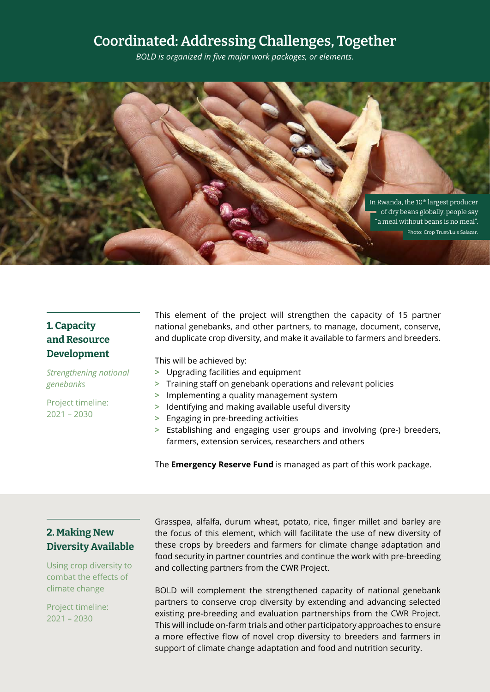# **Coordinated: Addressing Challenges, Together**

*BOLD is organized in five major work packages, or elements.* 



# **1. Capacity and Resource Development**

*Strengthening national genebanks*

Project timeline: 2021 – 2030

This element of the project will strengthen the capacity of 15 partner national genebanks, and other partners, to manage, document, conserve, and duplicate crop diversity, and make it available to farmers and breeders.

This will be achieved by:

- **>** Upgrading facilities and equipment
- **>** Training staff on genebank operations and relevant policies
- **>** Implementing a quality management system
- **>** Identifying and making available useful diversity
- **>** Engaging in pre-breeding activities
- **>** Establishing and engaging user groups and involving (pre-) breeders, farmers, extension services, researchers and others

The **Emergency Reserve Fund** is managed as part of this work package.

### **2. Making New Diversity Available**

Using crop diversity to combat the effects of climate change

Project timeline: 2021 – 2030

Grasspea, alfalfa, durum wheat, potato, rice, finger millet and barley are the focus of this element, which will facilitate the use of new diversity of these crops by breeders and farmers for climate change adaptation and food security in partner countries and continue the work with pre-breeding and collecting partners from the CWR Project.

BOLD will complement the strengthened capacity of national genebank partners to conserve crop diversity by extending and advancing selected existing pre-breeding and evaluation partnerships from the CWR Project. This will include on-farm trials and other participatory approaches to ensure a more effective flow of novel crop diversity to breeders and farmers in support of climate change adaptation and food and nutrition security.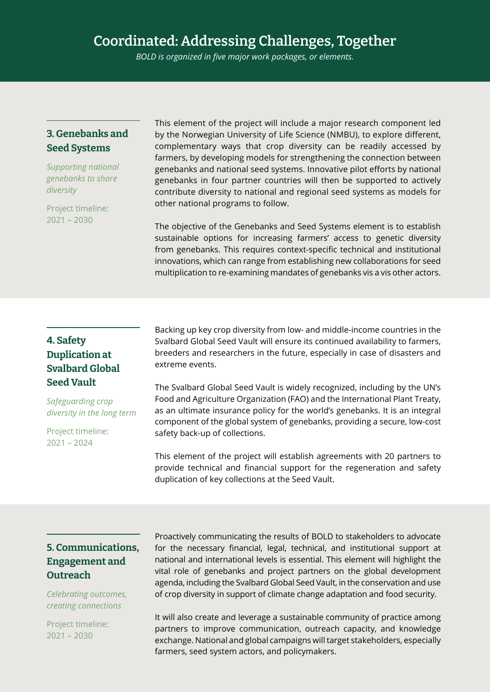# **Coordinated: Addressing Challenges, Together**

*BOLD is organized in five major work packages, or elements.* 

# **3. Genebanks and Seed Systems**

*Supporting national genebanks to share diversity*

Project timeline: 2021 – 2030

This element of the project will include a major research component led by the Norwegian University of Life Science (NMBU), to explore different, complementary ways that crop diversity can be readily accessed by farmers, by developing models for strengthening the connection between genebanks and national seed systems. Innovative pilot efforts by national genebanks in four partner countries will then be supported to actively contribute diversity to national and regional seed systems as models for other national programs to follow.

The objective of the Genebanks and Seed Systems element is to establish sustainable options for increasing farmers' access to genetic diversity from genebanks. This requires context-specific technical and institutional innovations, which can range from establishing new collaborations for seed multiplication to re-examining mandates of genebanks vis a vis other actors.

# **4. Safety Duplication at Svalbard Global Seed Vault**

*Safeguarding crop diversity in the long term*

Project timeline: 2021 – 2024

Backing up key crop diversity from low- and middle-income countries in the Svalbard Global Seed Vault will ensure its continued availability to farmers, breeders and researchers in the future, especially in case of disasters and extreme events.

The Svalbard Global Seed Vault is widely recognized, including by the UN's Food and Agriculture Organization (FAO) and the International Plant Treaty, as an ultimate insurance policy for the world's genebanks. It is an integral component of the global system of genebanks, providing a secure, low-cost safety back-up of collections.

This element of the project will establish agreements with 20 partners to provide technical and financial support for the regeneration and safety duplication of key collections at the Seed Vault.

## **5. Communications, Engagement and Outreach**

*Celebrating outcomes, creating connections*

Project timeline: 2021 – 2030

Proactively communicating the results of BOLD to stakeholders to advocate for the necessary financial, legal, technical, and institutional support at national and international levels is essential. This element will highlight the vital role of genebanks and project partners on the global development agenda, including the Svalbard Global Seed Vault, in the conservation and use of crop diversity in support of climate change adaptation and food security.

It will also create and leverage a sustainable community of practice among partners to improve communication, outreach capacity, and knowledge exchange. National and global campaigns will target stakeholders, especially farmers, seed system actors, and policymakers.